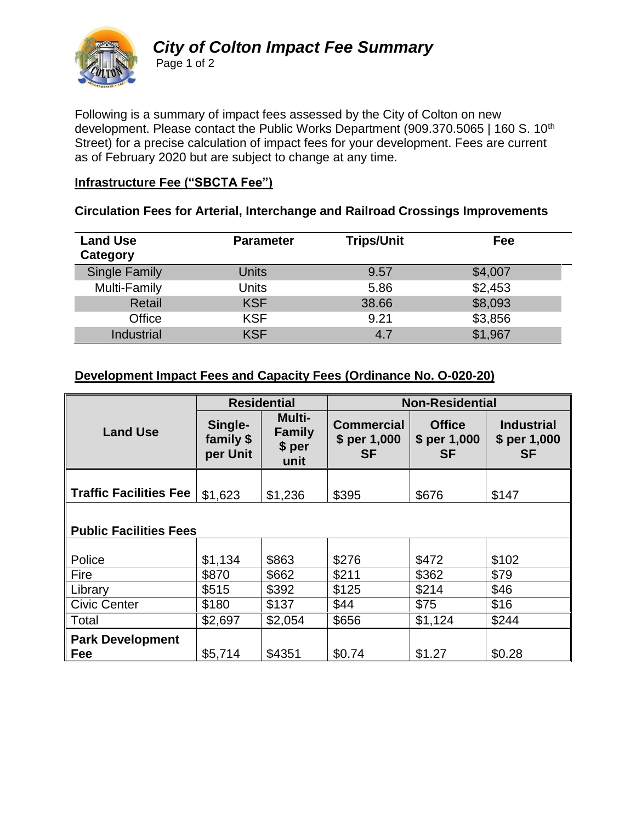

## *City of Colton Impact Fee Summary* Page 1 of 2

Following is a summary of impact fees assessed by the City of Colton on new development. Please contact the Public Works Department (909.370.5065 | 160 S. 10<sup>th</sup> Street) for a precise calculation of impact fees for your development. Fees are current as of February 2020 but are subject to change at any time.

## **Infrastructure Fee ("SBCTA Fee")**

#### **Circulation Fees for Arterial, Interchange and Railroad Crossings Improvements**

| <b>Land Use</b><br>Category | <b>Parameter</b> | <b>Trips/Unit</b> | Fee     |
|-----------------------------|------------------|-------------------|---------|
| <b>Single Family</b>        | Units            | 9.57              | \$4,007 |
| Multi-Family                | Units            | 5.86              | \$2,453 |
| Retail                      | <b>KSF</b>       | 38.66             | \$8,093 |
| Office                      | <b>KSF</b>       | 9.21              | \$3,856 |
| Industrial                  | <b>KSF</b>       | 4.7               | \$1,967 |

### **Development Impact Fees and Capacity Fees (Ordinance No. O-020-20)**

|                               | <b>Residential</b>               |                                                   | <b>Non-Residential</b>                         |                                            |                                                |
|-------------------------------|----------------------------------|---------------------------------------------------|------------------------------------------------|--------------------------------------------|------------------------------------------------|
| <b>Land Use</b>               | Single-<br>family \$<br>per Unit | <b>Multi-</b><br><b>Family</b><br>$$$ per<br>unit | <b>Commercial</b><br>\$ per 1,000<br><b>SF</b> | <b>Office</b><br>\$ per 1,000<br><b>SF</b> | <b>Industrial</b><br>\$ per 1,000<br><b>SF</b> |
|                               |                                  |                                                   |                                                |                                            |                                                |
| <b>Traffic Facilities Fee</b> | \$1,623                          | \$1,236                                           | \$395                                          | \$676                                      | \$147                                          |
|                               |                                  |                                                   |                                                |                                            |                                                |

#### **Public Facilities Fees**

| Police                  | \$1,134 | \$863   | \$276  | \$472   | \$102  |
|-------------------------|---------|---------|--------|---------|--------|
| Fire                    | \$870   | \$662   | \$211  | \$362   | \$79   |
| Library                 | \$515   | \$392   | \$125  | \$214   | \$46   |
| <b>Civic Center</b>     | \$180   | \$137   | \$44   | \$75    | \$16   |
| Total                   | \$2,697 | \$2,054 | \$656  | \$1,124 | \$244  |
| <b>Park Development</b> |         |         |        |         |        |
| Fee                     | \$5,714 | \$4351  | \$0.74 | \$1.27  | \$0.28 |